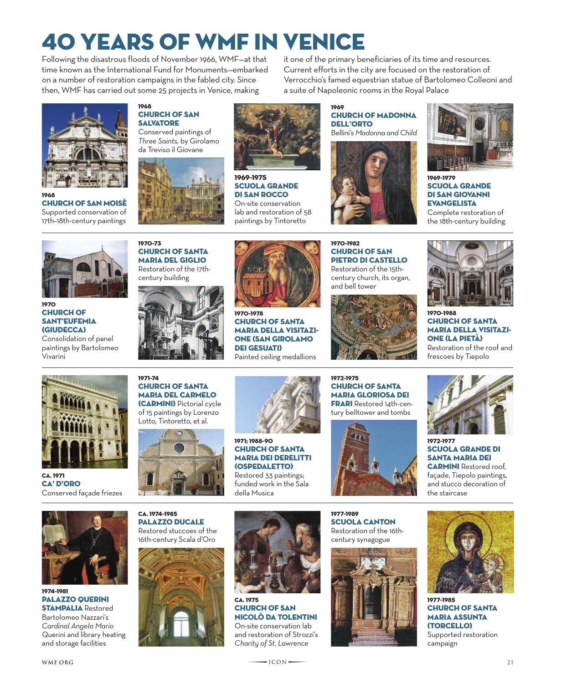# 40 Years of wmf in Venice

Following the disastrous floods of November 1966, WMF—at that time known as the International Fund for Monuments—embarked on a number of restoration campaigns in the fabled city. Since then, WMF has carried out some 25 projects in Venice, making



1968 Church of San Moisè Supported conservation of 17th–18th-century paintings





it one of the primary beneficiaries of its time and resources. Current efforts in the city are focused on the restoration of Verrocchio's famed equestrian statue of Bartolomeo Colleoni and a suite of Napoleonic rooms in the Royal Palace

1969 Church of Madonna dell'Orto Bellini's *Madonna and Child*





1969–1979 Scuola Grande di San Giovanni **EVANGELISTA** 

Complete restoration of the 18th-century building



1970 **CHURCH OF** Sant'Eufemia (Giudecca) Consolidation of panel

paintings by Bartolomeo Vivarini







1969–1975

Scuola Grande di San Rocco On-site conservation lab and restoration of 58 paintings by Tintoretto

1970–1978 **CHURCH OF SANTA** Maria della Visitazione (San Girolamo DEI GESUATI) Painted ceiling medallions

1970–1982 **CHURCH OF SAN** Pietro di Castello Restoration of the 15thcentury church, its organ, and bell tower





1970–1988 Church of Santa Maria della Visitazione (La Pietà) Restoration of the roof and frescoes by Tiepolo



Ca. 1971 CA' D'ORO Conserved façade friezes



**CHURCH OF SANTA** 

1971–74

Maria del Carmelo (Carmini) Pictorial cycle of 15 paintings by Lorenzo Lotto, Tintoretto, et al.



1971; 1988–90 **CHURCH OF SANTA** 

Maria dei Derelitti (Ospedaletto) Restored 33 paintings; funded work in the Sala

della Musica





1972–1977 Scuola Grande di Santa Maria dei **CARMINI** Restored roof, façade, Tiepolo paintings, and stucco decoration of the staircase











**CHURCH OF SAN** Nicolò da Tolentini On-site conservation lab and restoration of Strozzi's *Charity of St. Lawrence*







1977–1985 Church of Santa Maria Assunta (Torcello) Supported restoration campaign